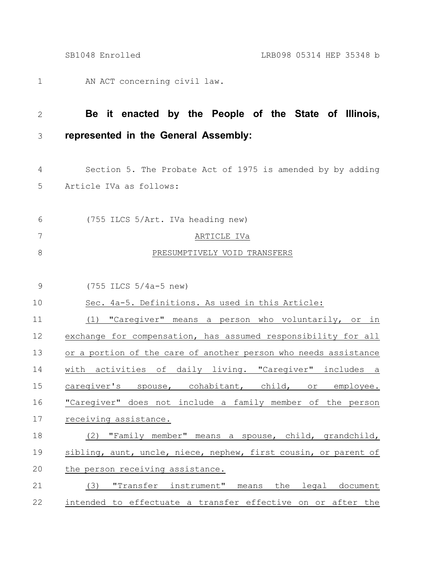AN ACT concerning civil law. 1

## **Be it enacted by the People of the State of Illinois, represented in the General Assembly:** 2 3

- Section 5. The Probate Act of 1975 is amended by by adding Article IVa as follows: 4 5
- (755 ILCS 5/Art. IVa heading new) ARTICLE IVa PRESUMPTIVELY VOID TRANSFERS 6 7 8
- (755 ILCS 5/4a-5 new) 9

## Sec. 4a-5. Definitions. As used in this Article: 10

(1) "Caregiver" means a person who voluntarily, or in exchange for compensation, has assumed responsibility for all or a portion of the care of another person who needs assistance with activities of daily living. "Caregiver" includes a caregiver's spouse, cohabitant, child, or employee. "Caregiver" does not include a family member of the person receiving assistance. (2) "Family member" means a spouse, child, grandchild, 11 12 13 14 15 16 17 18

## sibling, aunt, uncle, niece, nephew, first cousin, or parent of the person receiving assistance. 19 20

## (3) "Transfer instrument" means the legal document intended to effectuate a transfer effective on or after the 21 22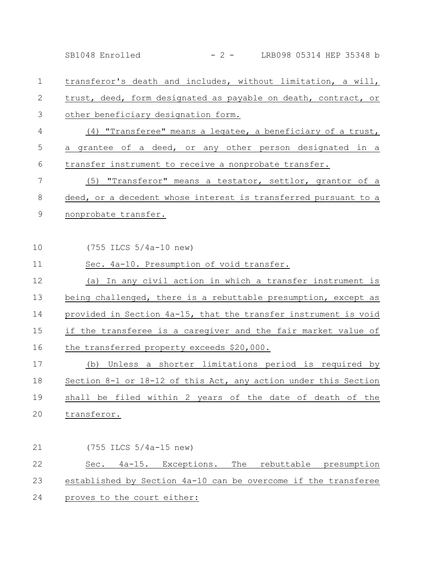transferor's death and includes, without limitation, a will, trust, deed, form designated as payable on death, contract, or other beneficiary designation form. (4) "Transferee" means a legatee, a beneficiary of a trust, a grantee of a deed, or any other person designated in a transfer instrument to receive a nonprobate transfer. (5) "Transferor" means a testator, settlor, grantor of a deed, or a decedent whose interest is transferred pursuant to a nonprobate transfer. (755 ILCS 5/4a-10 new) Sec. 4a-10. Presumption of void transfer. (a) In any civil action in which a transfer instrument is being challenged, there is a rebuttable presumption, except as provided in Section 4a-15, that the transfer instrument is void if the transferee is a caregiver and the fair market value of the transferred property exceeds \$20,000. (b) Unless a shorter limitations period is required by Section 8-1 or 18-12 of this Act, any action under this Section shall be filed within 2 years of the date of death of the transferor. (755 ILCS 5/4a-15 new) Sec. 4a-15. Exceptions. The rebuttable presumption established by Section 4a-10 can be overcome if the transferee proves to the court either: 1 2 3 4 5 6 7 8 9 10 11 12 13 14 15 16 17 18 19 20 21 22 23 24 SB1048 Enrolled - 2 - LRB098 05314 HEP 35348 b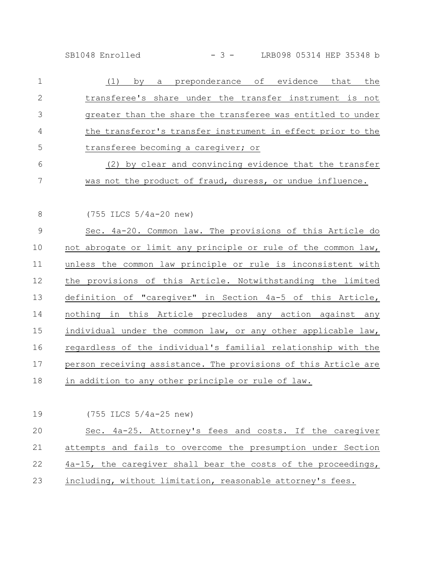SB1048 Enrolled - 3 - LRB098 05314 HEP 35348 b

| $\mathbf{1}$ | preponderance of evidence that<br>the<br>(1)<br>by<br>a        |
|--------------|----------------------------------------------------------------|
| 2            | transferee's share under the transfer instrument is not        |
| 3            | greater than the share the transferee was entitled to under    |
| 4            | the transferor's transfer instrument in effect prior to the    |
| 5            | transferee becoming a caregiver; or                            |
| 6            | (2) by clear and convincing evidence that the transfer         |
| 7            | was not the product of fraud, duress, or undue influence.      |
|              |                                                                |
| 8            | $(755$ ILCS $5/4a-20$ new)                                     |
| 9            | Sec. 4a-20. Common law. The provisions of this Article do      |
| 10           | not abrogate or limit any principle or rule of the common law, |
| 11           | unless the common law principle or rule is inconsistent with   |
| 12           | the provisions of this Article. Notwithstanding the limited    |
| 13           | definition of "caregiver" in Section 4a-5 of this Article,     |
|              |                                                                |

nothing in this Article precludes any action against any individual under the common law, or any other applicable law, regardless of the individual's familial relationship with the person receiving assistance. The provisions of this Article are 14 15 16 17

in addition to any other principle or rule of law. 18

(755 ILCS 5/4a-25 new) Sec. 4a-25. Attorney's fees and costs. If the caregiver attempts and fails to overcome the presumption under Section 4a-15, the caregiver shall bear the costs of the proceedings, including, without limitation, reasonable attorney's fees. 19 20 21 22 23